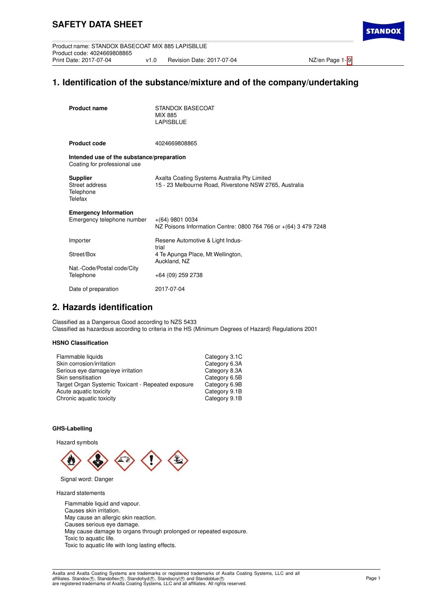## **1. Identification of the substance/mixture and of the company/undertaking**

| <b>Product name</b>                                                       | STANDOX BASECOAT<br>MIX 885<br><b>LAPISBLUE</b>                                                        |
|---------------------------------------------------------------------------|--------------------------------------------------------------------------------------------------------|
| <b>Product code</b>                                                       | 4024669808865                                                                                          |
| Intended use of the substance/preparation<br>Coating for professional use |                                                                                                        |
| <b>Supplier</b><br>Street address<br>Telephone<br>Telefax                 | Axalta Coating Systems Australia Pty Limited<br>15 - 23 Melbourne Road, Riverstone NSW 2765, Australia |
| <b>Emergency Information</b><br>Emergency telephone number                | $+(64)$ 9801 0034<br>NZ Poisons Information Centre: 0800 764 766 or +(64) 3 479 7248                   |
| Importer                                                                  | Resene Automotive & Light Indus-<br>trial                                                              |
| Street/Box                                                                | 4 Te Apunga Place, Mt Wellington,<br>Auckland, NZ                                                      |
| Nat.-Code/Postal code/City<br>Telephone                                   | +64 (09) 259 2738                                                                                      |
| Date of preparation                                                       | 2017-07-04                                                                                             |

## **2. Hazards identification**

Classified as a Dangerous Good according to NZS 5433 Classified as hazardous according to criteria in the HS (Minimum Degrees of Hazard) Regulations 2001

## **HSNO Classification**

| Category 3.1C |
|---------------|
| Category 6.3A |
| Category 8.3A |
| Category 6.5B |
| Category 6.9B |
| Category 9.1B |
| Category 9.1B |
|               |

### **GHS-Labelling**

Hazard symbols



Signal word: Danger

Hazard statements

Flammable liquid and vapour. Causes skin irritation. May cause an allergic skin reaction. Causes serious eye damage. May cause damage to organs through prolonged or repeated exposure. Toxic to aquatic life. Toxic to aquatic life with long lasting effects.

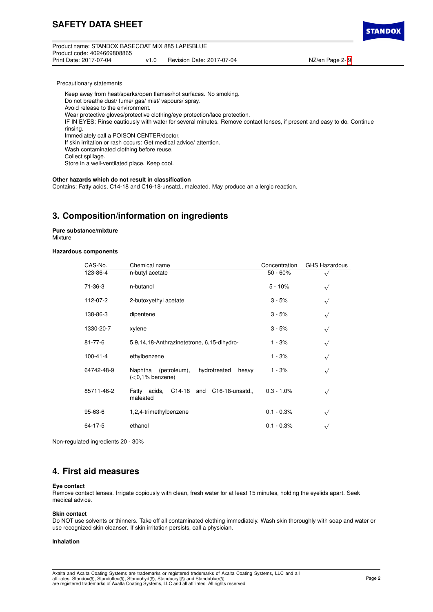Product name: STANDOX BASECOAT MIX 885 LAPISBLUE Product code: 4024669808865 v1.0 Revision Date: 2017-07-04 NZ/en Page 2- [9](#page-8-0) **STANDO** 

Precautionary statements

Keep away from heat/sparks/open flames/hot surfaces. No smoking. Do not breathe dust/ fume/ gas/ mist/ vapours/ spray. Avoid release to the environment. Wear protective gloves/protective clothing/eye protection/face protection. IF IN EYES: Rinse cautiously with water for several minutes. Remove contact lenses, if present and easy to do. Continue rinsing. Immediately call a POISON CENTER/doctor. If skin irritation or rash occurs: Get medical advice/ attention. Wash contaminated clothing before reuse. Collect spillage. Store in a well-ventilated place. Keep cool.

### **Other hazards which do not result in classification**

Contains: Fatty acids, C14-18 and C16-18-unsatd., maleated. May produce an allergic reaction.

## **3. Composition/information on ingredients**

**Pure substance/mixture** Mixture

### **Hazardous components**

| CAS-No.        | Chemical name                                                          | Concentration | <b>GHS Hazardous</b> |
|----------------|------------------------------------------------------------------------|---------------|----------------------|
| 123-86-4       | n-butyl acetate                                                        | $50 - 60%$    |                      |
| 71-36-3        | n-butanol                                                              | $5 - 10%$     | $\sqrt{}$            |
| 112-07-2       | 2-butoxyethyl acetate                                                  | $3 - 5%$      | $\sqrt{}$            |
| 138-86-3       | dipentene                                                              | $3 - 5%$      | $\sqrt{}$            |
| 1330-20-7      | xylene                                                                 | $3 - 5%$      | $\sqrt{}$            |
| 81-77-6        | 5,9,14,18-Anthrazinetetrone, 6,15-dihydro-                             | 1 - 3%        | $\sqrt{}$            |
| $100 - 41 - 4$ | ethylbenzene                                                           | $1 - 3%$      | $\sqrt{}$            |
| 64742-48-9     | hydrotreated<br>Naphtha<br>(petroleum),<br>heavy<br>$(<0.1\%$ benzene) | $1 - 3%$      | $\sqrt{}$            |
| 85711-46-2     | C14-18 and C16-18-unsatd.,<br>Fatty acids.<br>maleated                 | $0.3 - 1.0\%$ | $\sqrt{}$            |
| 95-63-6        | 1,2,4-trimethylbenzene                                                 | $0.1 - 0.3%$  | $\sqrt{}$            |
| 64-17-5        | ethanol                                                                | $0.1 - 0.3%$  | $\sqrt{}$            |

Non-regulated ingredients 20 - 30%

## **4. First aid measures**

#### **Eye contact**

Remove contact lenses. Irrigate copiously with clean, fresh water for at least 15 minutes, holding the eyelids apart. Seek medical advice.

### **Skin contact**

Do NOT use solvents or thinners. Take off all contaminated clothing immediately. Wash skin thoroughly with soap and water or use recognized skin cleanser. If skin irritation persists, call a physician.

#### **Inhalation**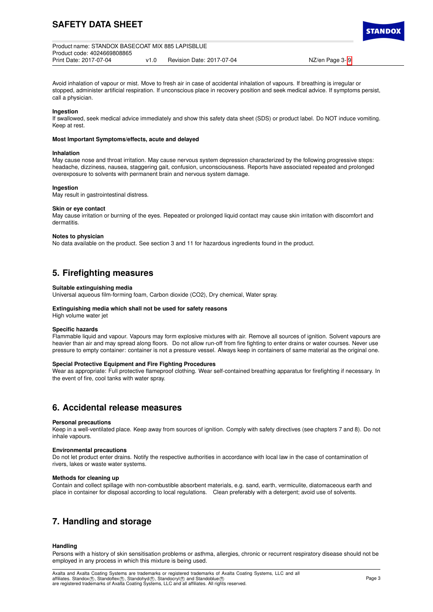# **SAFETY DATA SHEET**



TANDO

Avoid inhalation of vapour or mist. Move to fresh air in case of accidental inhalation of vapours. If breathing is irregular or stopped, administer artificial respiration. If unconscious place in recovery position and seek medical advice. If symptoms persist, call a physician.

### **Ingestion**

If swallowed, seek medical advice immediately and show this safety data sheet (SDS) or product label. Do NOT induce vomiting. Keep at rest.

### **Most Important Symptoms/effects, acute and delayed**

#### **Inhalation**

May cause nose and throat irritation. May cause nervous system depression characterized by the following progressive steps: headache, dizziness, nausea, staggering gait, confusion, unconsciousness. Reports have associated repeated and prolonged overexposure to solvents with permanent brain and nervous system damage.

## **Ingestion**

May result in gastrointestinal distress.

### **Skin or eye contact**

May cause irritation or burning of the eyes. Repeated or prolonged liquid contact may cause skin irritation with discomfort and dermatitis.

#### **Notes to physician**

No data available on the product. See section 3 and 11 for hazardous ingredients found in the product.

## **5. Firefighting measures**

### **Suitable extinguishing media**

Universal aqueous film-forming foam, Carbon dioxide (CO2), Dry chemical, Water spray.

#### **Extinguishing media which shall not be used for safety reasons**

High volume water jet

## **Specific hazards**

Flammable liquid and vapour. Vapours may form explosive mixtures with air. Remove all sources of ignition. Solvent vapours are heavier than air and may spread along floors. Do not allow run-off from fire fighting to enter drains or water courses. Never use pressure to empty container: container is not a pressure vessel. Always keep in containers of same material as the original one.

### **Special Protective Equipment and Fire Fighting Procedures**

Wear as appropriate: Full protective flameproof clothing. Wear self-contained breathing apparatus for firefighting if necessary. In the event of fire, cool tanks with water spray.

## **6. Accidental release measures**

#### **Personal precautions**

Keep in a well-ventilated place. Keep away from sources of ignition. Comply with safety directives (see chapters 7 and 8). Do not inhale vapours.

#### **Environmental precautions**

Do not let product enter drains. Notify the respective authorities in accordance with local law in the case of contamination of rivers, lakes or waste water systems.

### **Methods for cleaning up**

Contain and collect spillage with non-combustible absorbent materials, e.g. sand, earth, vermiculite, diatomaceous earth and place in container for disposal according to local regulations. Clean preferably with a detergent; avoid use of solvents.

## **7. Handling and storage**

### **Handling**

Persons with a history of skin sensitisation problems or asthma, allergies, chronic or recurrent respiratory disease should not be employed in any process in which this mixture is being used.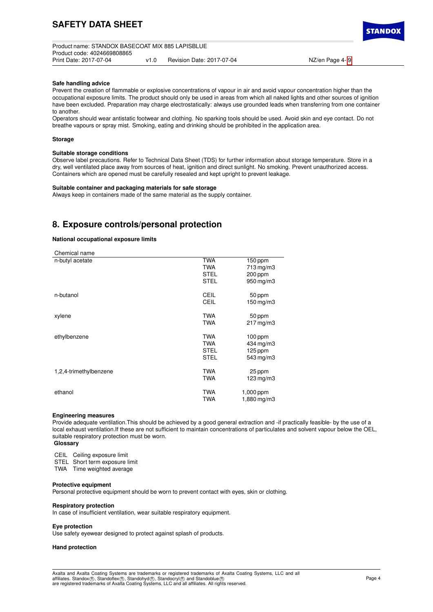Product name: STANDOX BASECOAT MIX 885 LAPISBLUE Product code: 4024669808865 v1.0 Revision Date: 2017-07-04 NZ/en Page 4- [9](#page-8-0)

**TANDO** 

#### **Safe handling advice**

Prevent the creation of flammable or explosive concentrations of vapour in air and avoid vapour concentration higher than the occupational exposure limits. The product should only be used in areas from which all naked lights and other sources of ignition have been excluded. Preparation may charge electrostatically: always use grounded leads when transferring from one container to another.

Operators should wear antistatic footwear and clothing. No sparking tools should be used. Avoid skin and eye contact. Do not breathe vapours or spray mist. Smoking, eating and drinking should be prohibited in the application area.

### **Storage**

#### **Suitable storage conditions**

Observe label precautions. Refer to Technical Data Sheet (TDS) for further information about storage temperature. Store in a dry, well ventilated place away from sources of heat, ignition and direct sunlight. No smoking. Prevent unauthorized access. Containers which are opened must be carefully resealed and kept upright to prevent leakage.

### **Suitable container and packaging materials for safe storage**

Always keep in containers made of the same material as the supply container.

## **8. Exposure controls/personal protection**

## **National occupational exposure limits**

| Chemical name          |                                          |                                                     |
|------------------------|------------------------------------------|-----------------------------------------------------|
| n-butyl acetate        | <b>TWA</b><br><b>TWA</b><br>STEL<br>STEL | $150$ ppm<br>$713$ mg/m $3$<br>200 ppm<br>950 mg/m3 |
| n-butanol              | CEIL<br><b>CEIL</b>                      | 50 ppm<br>$150$ mg/m $3$                            |
| xylene                 | <b>TWA</b><br><b>TWA</b>                 | 50 ppm<br>$217 \,\mathrm{mg/m3}$                    |
| ethylbenzene           | <b>TWA</b><br><b>TWA</b><br>STEL<br>STEL | $100$ ppm<br>434 mg/m3<br>125 ppm<br>543 mg/m3      |
| 1,2,4-trimethylbenzene | <b>TWA</b><br><b>TWA</b>                 | 25 ppm<br>$123$ mg/m $3$                            |
| ethanol                | <b>TWA</b><br><b>TWA</b>                 | 1,000 ppm<br>1,880 mg/m3                            |

#### **Engineering measures**

Provide adequate ventilation.This should be achieved by a good general extraction and -if practically feasible- by the use of a local exhaust ventilation.If these are not sufficient to maintain concentrations of particulates and solvent vapour below the OEL, suitable respiratory protection must be worn.

## **Glossary**

CEIL Ceiling exposure limit

STEL Short term exposure limit

TWA Time weighted average

#### **Protective equipment**

Personal protective equipment should be worn to prevent contact with eyes, skin or clothing.

### **Respiratory protection**

In case of insufficient ventilation, wear suitable respiratory equipment.

#### **Eye protection**

Use safety eyewear designed to protect against splash of products.

### **Hand protection**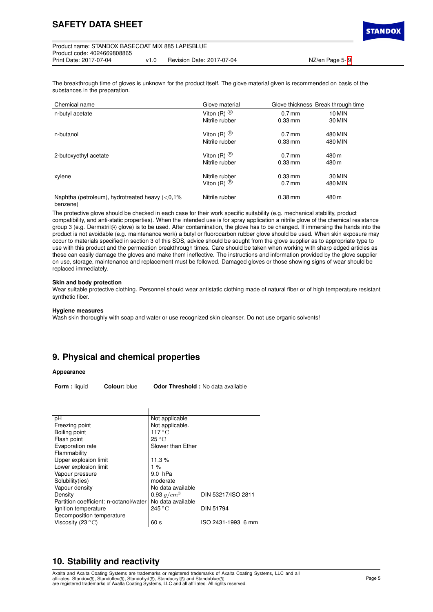**STANDO** 

The breakthrough time of gloves is unknown for the product itself. The glove material given is recommended on basis of the substances in the preparation.

| Chemical name                                                 | Glove material          |                   | Glove thickness Break through time |
|---------------------------------------------------------------|-------------------------|-------------------|------------------------------------|
| n-butyl acetate                                               | Viton $(R)$ $\circledR$ | $0.7$ mm          | 10 MIN                             |
|                                                               | Nitrile rubber          | $0.33$ mm         | 30 MIN                             |
| n-butanol                                                     | Viton (R) $\circledR$   | $0.7$ mm          | 480 MIN                            |
|                                                               | Nitrile rubber          | $0.33$ mm         | 480 MIN                            |
| 2-butoxyethyl acetate                                         | Viton $(R)$ $\circledR$ | $0.7$ mm          | 480 m                              |
|                                                               | Nitrile rubber          | $0.33 \text{ mm}$ | 480 m                              |
| xylene                                                        | Nitrile rubber          | $0.33 \text{ mm}$ | 30 MIN                             |
|                                                               | Viton $(R)$ $\circledR$ | $0.7$ mm          | 480 MIN                            |
| Naphtha (petroleum), hydrotreated heavy $(<0.1\%$<br>benzene) | Nitrile rubber          | $0.38$ mm         | 480 m                              |

The protective glove should be checked in each case for their work specific suitability (e.g. mechanical stability, product compatibility, and anti-static properties). When the intended use is for spray application a nitrile glove of the chemical resistance group 3 (e.g. Dermatril ® glove) is to be used. After contamination, the glove has to be changed. If immersing the hands into the product is not avoidable (e.g. maintenance work) a butyl or fluorocarbon rubber glove should be used. When skin exposure may occur to materials specified in section 3 of this SDS, advice should be sought from the glove supplier as to appropriate type to use with this product and the permeation breakthrough times. Care should be taken when working with sharp edged articles as these can easily damage the gloves and make them ineffective. The instructions and information provided by the glove supplier on use, storage, maintenance and replacement must be followed. Damaged gloves or those showing signs of wear should be replaced immediately.

### **Skin and body protection**

Wear suitable protective clothing. Personnel should wear antistatic clothing made of natural fiber or of high temperature resistant synthetic fiber.

### **Hygiene measures**

Wash skin thoroughly with soap and water or use recognized skin cleanser. Do not use organic solvents!

## **9. Physical and chemical properties**

## **Appearance**

**Form :** liquid **Colour:** blue **Odor Threshold :** No data available

| рH                                     | Not applicable            |                    |
|----------------------------------------|---------------------------|--------------------|
| Freezing point                         | Not applicable.           |                    |
| Boiling point                          | $117^{\circ}$ C           |                    |
| Flash point                            | $25^{\circ}$ C            |                    |
| Evaporation rate                       | Slower than Ether         |                    |
| Flammability                           |                           |                    |
| Upper explosion limit                  | 11.3%                     |                    |
| Lower explosion limit                  | $1\%$                     |                    |
| Vapour pressure                        | 9.0 hPa                   |                    |
| Solubility(ies)                        | moderate                  |                    |
| Vapour density                         | No data available         |                    |
| Density                                | 0.93 $q/cm^3$             | DIN 53217/ISO 2811 |
| Partition coefficient: n-octanol/water | No data available         |                    |
| Ignition temperature                   | $245\,^{\circ}\mathrm{C}$ | <b>DIN 51794</b>   |
| Decomposition temperature              |                           |                    |
| Viscosity (23 $\degree$ C)             | 60 s                      | ISO 2431-1993 6 mm |

## **10. Stability and reactivity**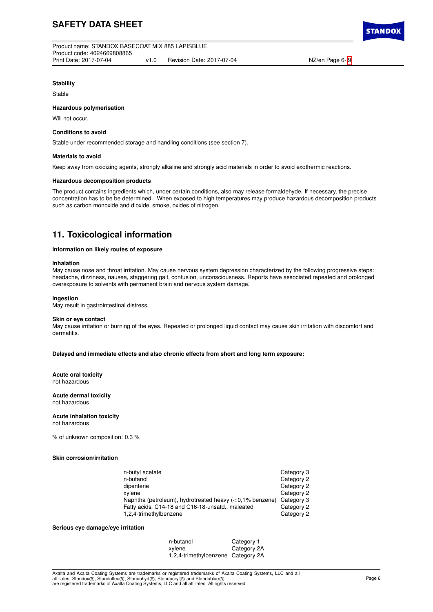# **SAFETY DATA SHEET**

**TANDO** 

## **Stability**

Stable

## **Hazardous polymerisation**

Will not occur.

#### **Conditions to avoid**

Stable under recommended storage and handling conditions (see section 7).

#### **Materials to avoid**

Keep away from oxidizing agents, strongly alkaline and strongly acid materials in order to avoid exothermic reactions.

#### **Hazardous decomposition products**

The product contains ingredients which, under certain conditions, also may release formaldehyde. If necessary, the precise concentration has to be be determined. When exposed to high temperatures may produce hazardous decomposition products such as carbon monoxide and dioxide, smoke, oxides of nitrogen.

## **11. Toxicological information**

## **Information on likely routes of exposure**

#### **Inhalation**

May cause nose and throat irritation. May cause nervous system depression characterized by the following progressive steps: headache, dizziness, nausea, staggering gait, confusion, unconsciousness. Reports have associated repeated and prolonged overexposure to solvents with permanent brain and nervous system damage.

### **Ingestion**

May result in gastrointestinal distress.

#### **Skin or eye contact**

May cause irritation or burning of the eyes. Repeated or prolonged liquid contact may cause skin irritation with discomfort and dermatitis.

**Delayed and immediate effects and also chronic effects from short and long term exposure:**

## **Acute oral toxicity**

not hazardous

#### **Acute dermal toxicity** not hazardous

## **Acute inhalation toxicity**

not hazardous

% of unknown composition: 0.3 %

## **Skin corrosion/irritation**

| n-butyl acetate                                            | Category 3 |
|------------------------------------------------------------|------------|
| n-butanol                                                  | Category 2 |
| dipentene                                                  | Category 2 |
| xylene                                                     | Category 2 |
| Naphtha (petroleum), hydrotreated heavy $(<0.1\%$ benzene) | Category 3 |
| Fatty acids, C14-18 and C16-18-unsatd., maleated           | Category 2 |
| 1,2,4-trimethylbenzene                                     | Category 2 |

#### **Serious eye damage/eye irritation**

| n-butanol                          | Category 1  |
|------------------------------------|-------------|
| xylene                             | Category 2A |
| 1,2,4-trimethylbenzene Category 2A |             |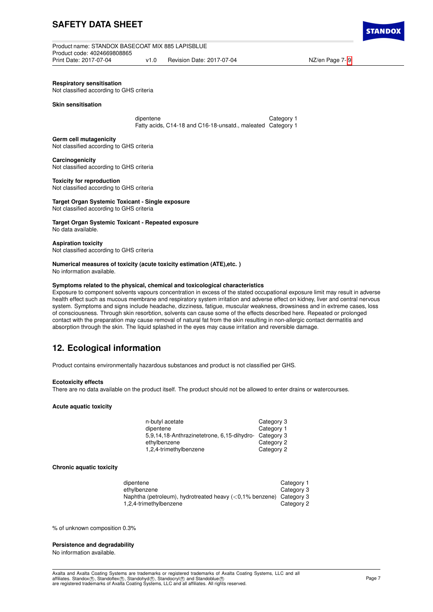Product name: STANDOX BASECOAT MIX 885 LAPISBLUE Product code: 4024669808865 v1.0 Revision Date: 2017-07-04 NZ/en Page 7- [9](#page-8-0)

**Respiratory sensitisation**

Not classified according to GHS criteria

**Skin sensitisation**

dipentene Category 1 Fatty acids, C14-18 and C16-18-unsatd., maleated Category 1

**Germ cell mutagenicity** Not classified according to GHS criteria

**Carcinogenicity** Not classified according to GHS criteria

**Toxicity for reproduction** Not classified according to GHS criteria

## **Target Organ Systemic Toxicant - Single exposure**

Not classified according to GHS criteria

**Target Organ Systemic Toxicant - Repeated exposure** No data available.

# **Aspiration toxicity**

Not classified according to GHS criteria

## **Numerical measures of toxicity (acute toxicity estimation (ATE),etc. )**

No information available.

## **Symptoms related to the physical, chemical and toxicological characteristics**

Exposure to component solvents vapours concentration in excess of the stated occupational exposure limit may result in adverse health effect such as mucous membrane and respiratory system irritation and adverse effect on kidney, liver and central nervous system. Symptoms and signs include headache, dizziness, fatigue, muscular weakness, drowsiness and in extreme cases, loss of consciousness. Through skin resorbtion, solvents can cause some of the effects described here. Repeated or prolonged contact with the preparation may cause removal of natural fat from the skin resulting in non-allergic contact dermatitis and absorption through the skin. The liquid splashed in the eyes may cause irritation and reversible damage.

# **12. Ecological information**

Product contains environmentally hazardous substances and product is not classified per GHS.

### **Ecotoxicity effects**

There are no data available on the product itself. The product should not be allowed to enter drains or watercourses.

## **Acute aquatic toxicity**

| n-butyl acetate                                       | Category 3 |
|-------------------------------------------------------|------------|
| dipentene                                             | Category 1 |
| 5,9,14,18-Anthrazinetetrone, 6,15-dihydro- Category 3 |            |
| ethylbenzene                                          | Category 2 |
| 1,2,4-trimethylbenzene                                | Category 2 |

## **Chronic aquatic toxicity**

| dipentene                                                                   | Category 1 |
|-----------------------------------------------------------------------------|------------|
| ethylbenzene                                                                | Category 3 |
| Naphtha (petroleum), hydrotreated heavy $\langle$ <0.1% benzene) Category 3 |            |
| 1,2,4-trimethylbenzene                                                      | Category 2 |

% of unknown composition 0.3%

#### **Persistence and degradability**

No information available.

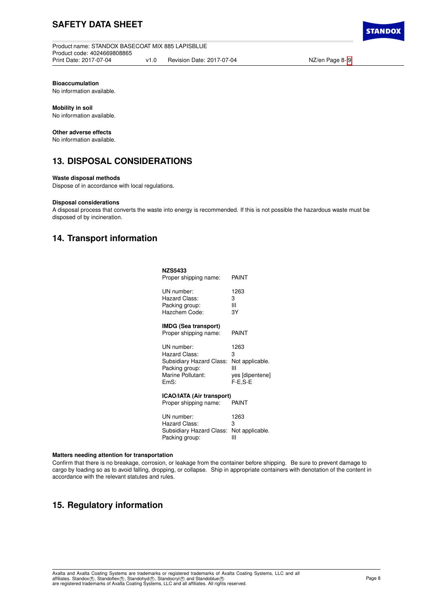# **SAFETY DATA SHEET**

**Product name: STANDOX BASECOAT MIX 885 LAPISBLUE** Product code: 4024669808865 Print Date: 2017-07-04 v1.0 Revision Date: 2017-07-04 NZ/en Page 8- [9](#page-8-0)

**STANDO** 

**Bioaccumulation**

No information available.

## **Mobility in soil**

No information available.

## **Other adverse effects**

No information available.

## **13. DISPOSAL CONSIDERATIONS**

## **Waste disposal methods**

Dispose of in accordance with local regulations.

## **Disposal considerations**

A disposal process that converts the waste into energy is recommended. If this is not possible the hazardous waste must be disposed of by incineration.

## **14. Transport information**

| <b>NZS5433</b><br>Proper shipping name:                   | PAINT           |
|-----------------------------------------------------------|-----------------|
| UN number:                                                | 1263            |
| Hazard Class:                                             | З               |
| Packing group:                                            | Ш               |
| Hazchem Code:                                             | 3Y              |
| <b>IMDG (Sea transport)</b><br>Proper shipping name:      | PAINT           |
| UN number:                                                | 1263            |
| Hazard Class:                                             | 3               |
| Subsidiary Hazard Class:                                  | Not applicable. |
| Packing group:                                            | Ш               |
| Marine Pollutant:                                         | yes [dipentene] |
| EmS.                                                      | F-E.S-E         |
| <b>ICAO/IATA (Air transport)</b><br>Proper shipping name: | <b>PAINT</b>    |
| UN number:                                                | 1263            |
| Hazard Class:                                             | З               |
| Subsidiary Hazard Class:                                  | Not applicable. |
| Packing group:                                            | Ш               |

## **Matters needing attention for transportation**

Confirm that there is no breakage, corrosion, or leakage from the container before shipping. Be sure to prevent damage to cargo by loading so as to avoid falling, dropping, or collapse. Ship in appropriate containers with denotation of the content in accordance with the relevant statutes and rules.

## **15. Regulatory information**